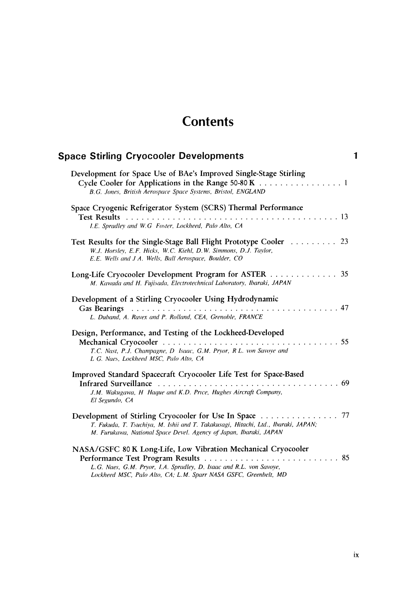## **Contents**

| <b>Space Stirling Cryocooler Developments</b>                                                                                                                                                            |  |
|----------------------------------------------------------------------------------------------------------------------------------------------------------------------------------------------------------|--|
| Development for Space Use of BAe's Improved Single-Stage Stirling<br>Cycle Cooler for Applications in the Range 50-80 K 1<br>B.G. Jones, British Aerospace Space Systems, Bristol, ENGLAND               |  |
| Space Cryogenic Refrigerator System (SCRS) Thermal Performance<br>I.E. Spradley and W.G Foster, Lockheed, Palo Alto, CA                                                                                  |  |
| Test Results for the Single-Stage Ball Flight Prototype Cooler  23<br>W.J. Horsley, E.F. Hicks, W.C. Kiehl, D.W. Simmons, D.J. Taylor,<br>E.E. Wells and J A. Wells, Ball Aerospace, Boulder, CO         |  |
| 35<br>Long-Life Cryocooler Development Program for ASTER<br>M. Kawada and H. Fujisada, Electrotechnical Laboratory, Ibaraki, JAPAN                                                                       |  |
| Development of a Stirling Cryocooler Using Hydrodynamic<br>L. Duband, A. Ravex and P. Rolland, CEA, Grenoble, FRANCE                                                                                     |  |
| Design, Performance, and Testing of the Lockheed-Developed<br>T.C. Nast, P.J. Champagne, D. Isaac, G.M. Pryor, R.L. von Savoye and<br>L G. Naes, Lockheed MSC, Palo Alto, CA                             |  |
| Improved Standard Spacecraft Cryocooler Life Test for Space-Based<br>J.M. Wakugawa, H Haque and K.D. Price, Hughes Aircraft Company,<br>El Segundo, CA                                                   |  |
| T. Fukuda, T. Tsuchiya, M. Ishii and T. Takakusagi, Hitachi, Ltd., Ibaraki, JAPAN;<br>M. Furukawa, National Space Devel. Agency of Japan, Ibaraki, JAPAN                                                 |  |
| NASA/GSFC 80 K Long-Life, Low Vibration Mechanical Cryocooler<br>L.G. Naes, G.M. Pryor, I.A. Spradley, D. Isaac and R.L. von Savoye,<br>Lockheed MSC, Palo Alto, CA; L.M. Sparr NASA GSFC, Greenbelt, MD |  |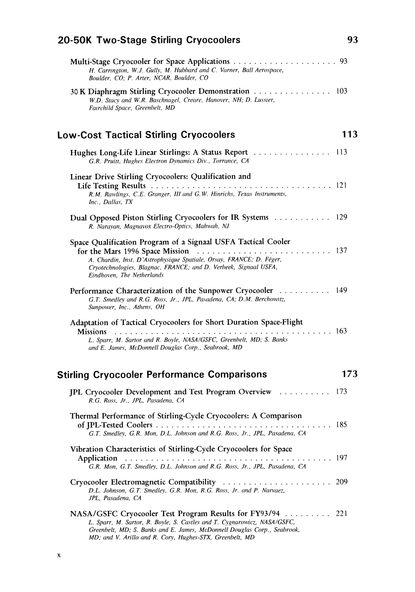| 20-50K Two-Stage Stirling Cryocoolers                                                                                                                                                                                                                                                                                                           | 93  |
|-------------------------------------------------------------------------------------------------------------------------------------------------------------------------------------------------------------------------------------------------------------------------------------------------------------------------------------------------|-----|
| H. Carrington, W.J. Gully, M. Hubbard and C. Varner, Ball Aerospace,<br>Boulder, CO; P. Arter, NCAR, Boulder, CO                                                                                                                                                                                                                                |     |
| 30 K Diaphragm Stirling Cryocooler Demonstration 103<br>W.D. Stacy and W.R. Baschnagel, Creare, Hanover, NH; D. Lusster,<br>Fairchild Space, Greenbelt, MD                                                                                                                                                                                      |     |
| <b>Low-Cost Tactical Stirling Cryocoolers</b>                                                                                                                                                                                                                                                                                                   | 113 |
| Hughes Long-Life Linear Stirlings: A Status Report  113<br>G.R. Pruitt, Hughes Electron Dynamics Div., Torrance, CA                                                                                                                                                                                                                             |     |
| Linear Drive Stirling Cryocoolers: Qualification and<br>R.M. Rawlings, C.E. Granger, III and G.W. Hinrichs, Texas Instruments,<br>Inc., Dallas, TX                                                                                                                                                                                              |     |
| Dual Opposed Piston Stirling Cryocoolers for IR Systems 129<br>R. Narayan, Magnavox Electro-Optics, Mahwah, NJ                                                                                                                                                                                                                                  |     |
| Space Qualification Program of a Signaal USFA Tactical Cooler<br>for the Mars 1996 Space Mission $\ldots \ldots \ldots \ldots \ldots \ldots \ldots \ldots \ldots 137$<br>A. Chardin, Inst. D'Astrophysique Spatiale, Orsay, FRANCE; D. Féger,<br>Cryotechnologies, Blagnac, FRANCE; and D. Verbeek, Signaal USFA,<br>Eindhoven, The Netherlands |     |
| Performance Characterization of the Sunpower Cryocooler 149<br>G.T. Smedley and R.G. Ross, Jr., JPL, Pasadena, CA; D.M. Berchowitz,<br>Sunpower, Inc., Athens, OH                                                                                                                                                                               |     |
| Adaptation of Tactical Cryocoolers for Short Duration Space-Flight<br><b>Missions</b><br>L. Sparr, M. Sartor and R. Boyle, NASA/GSFC, Greenbelt, MD; S. Banks<br>and E. James, McDonnell Douglas Corp., Seabrook, MD                                                                                                                            |     |
| <b>Stirling Cryocooler Performance Comparisons</b>                                                                                                                                                                                                                                                                                              | 173 |
| JPL Cryocooler Development and Test Program Overview  173<br>R.G. Ross, Jr., JPL, Pasadena, CA                                                                                                                                                                                                                                                  |     |
| Thermal Performance of Stirling-Cycle Cryocoolers: A Comparison<br>G.T. Smedley, G.R. Mon, D.L. Johnson and R.G. Ross, Jr., JPL, Pasadena, CA                                                                                                                                                                                                   |     |
| Vibration Characteristics of Stirling-Cycle Cryocoolers for Space<br><b>G.R. Mon, G.T. Smedley, D.L. Johnson and R.G. Ross, Jr., JPL, Pasadena, CA</b>                                                                                                                                                                                          |     |
| D.L. Johnson, G.T. Smedley, G.R. Mon, R.G. Ross, Jr. and P. Narvaez,<br>JPL, Pasadena, CA                                                                                                                                                                                                                                                       | 209 |
| NASA/GSFC Cryocooler Test Program Results for FY93/94 221<br>L. Sparr, M. Sartor, R. Boyle, S. Castles and T. Cygnarowicz, NASA/GSFC,<br>Greenbelt, MD; S. Banks and E. James, McDonnell Douglas Corp., Seabrook,<br>MD; and V. Arillo and R. Cory, Hughes-STX, Greenbelt, MD                                                                   |     |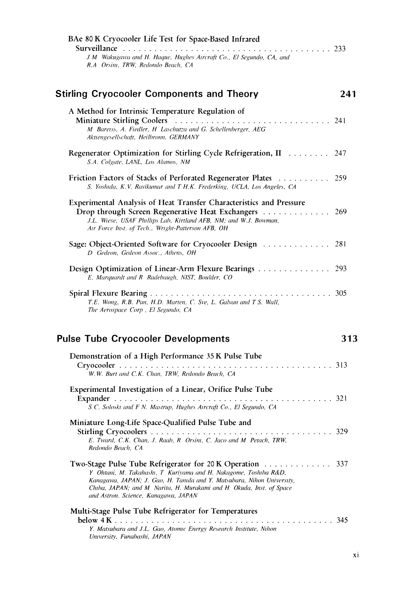| BAe 80 K Cryocooler Life Test for Space-Based Infrared                                                                                                                                                                                                                                                            |     |
|-------------------------------------------------------------------------------------------------------------------------------------------------------------------------------------------------------------------------------------------------------------------------------------------------------------------|-----|
| J M Wakugawa and H. Haque, Hughes Aircraft Co., El Segundo, CA, and<br>R.A Orsini, TRW, Redondo Beach, CA                                                                                                                                                                                                         |     |
| <b>Stirling Cryocooler Components and Theory</b>                                                                                                                                                                                                                                                                  | 241 |
| A Method for Intrinsic Temperature Regulation of<br>M Baretss, A. Fiedler, H Laschutza and G. Schellenberger, AEG<br>Aktiengesellschaft, Heilbronn, GERMANY                                                                                                                                                       |     |
| Regenerator Optimization for Stirling Cycle Refrigeration, II 247<br>S.A. Colgate, LANL, Los Alamos, NM                                                                                                                                                                                                           |     |
| Friction Factors of Stacks of Perforated Regenerator Plates 259<br>S. Yoshida, K.V. Ravikumar and T H.K. Frederking, UCLA, Los Angeles, CA                                                                                                                                                                        |     |
| Experimental Analysis of Heat Transfer Characteristics and Pressure<br>Drop through Screen Regenerative Heat Exchangers 269<br>J.L. Wiese, USAF Phillips Lab, Kirtland AFB, NM; and W.J. Bowman,<br>Air Force Inst. of Tech., Wright-Patterson AFB, OH                                                            |     |
| Sage: Object-Oriented Software for Cryocooler Design  281<br>D Gedeon, Gedeon Assoc., Athens, OH                                                                                                                                                                                                                  |     |
| Design Optimization of Linear-Arm Flexure Bearings 293<br>E. Marquardt and R Radebaugh, NIST, Boulder, CO                                                                                                                                                                                                         |     |
| T.E. Wong, R.B. Pan, H.D. Marten, C. Sve, L. Galvan and T S. Wall,                                                                                                                                                                                                                                                |     |
| The Aerospace Corp, El Segundo, CA                                                                                                                                                                                                                                                                                |     |
| <b>Pulse Tube Cryocooler Developments</b>                                                                                                                                                                                                                                                                         | 313 |
| Demonstration of a High Performance 35 K Pulse Tube                                                                                                                                                                                                                                                               |     |
| W.W. Burt and C.K. Chan, TRW, Redondo Beach, CA                                                                                                                                                                                                                                                                   |     |
| Experimental Investigation of a Linear, Orifice Pulse Tube                                                                                                                                                                                                                                                        |     |
| S C. Soloskt and F N. Mastrup, Hughes Atrcraft Co., El Segundo, CA                                                                                                                                                                                                                                                |     |
| Miniature Long-Life Space-Qualified Pulse Tube and                                                                                                                                                                                                                                                                |     |
| E. Tward, C.K. Chan, J. Raab, R Orsini, C. Jaco and M Petach, TRW,<br>Redondo Beach, CA                                                                                                                                                                                                                           | 329 |
| Two-Stage Pulse Tube Refrigerator for 20 K Operation<br>Y Ohtani, M. Takahashi, T Kuriyama and H. Nakagome, Toshiba R&D,<br>Kanagawa, JAPAN; J. Gao, H. Tanida and Y. Matsubara, Nihon University,<br>Chiba, JAPAN; and M Narita, H. Murakami and H Okuda, Inst. of Space<br>and Astron. Science, Kanagawa, JAPAN | 337 |
| Multi-Stage Pulse Tube Refrigerator for Temperatures                                                                                                                                                                                                                                                              |     |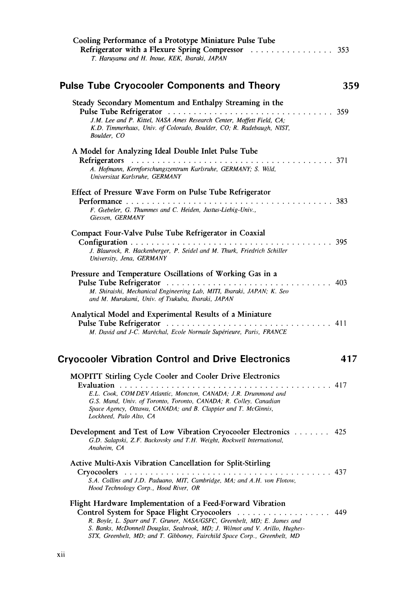| Cooling Performance of a Prototype Miniature Pulse Tube<br>T. Haruyama and H. Inoue, KEK, Ibaraki, JAPAN                                                                                                                                                                                                                                          |     |
|---------------------------------------------------------------------------------------------------------------------------------------------------------------------------------------------------------------------------------------------------------------------------------------------------------------------------------------------------|-----|
| <b>Pulse Tube Cryocooler Components and Theory</b>                                                                                                                                                                                                                                                                                                | 359 |
| Steady Secondary Momentum and Enthalpy Streaming in the<br>J.M. Lee and P. Kittel, NASA Ames Research Center, Moffett Field, CA;<br>K.D. Timmerhaus, Univ. of Colorado, Boulder, CO; R. Radebaugh, NIST,<br>Boulder, CO                                                                                                                           |     |
| A Model for Analyzing Ideal Double Inlet Pulse Tube<br>A. Hofmann, Kernforschungszentrum Karlsruhe, GERMANY; S. Wild,<br>Universitat Karlsruhe, GERMANY                                                                                                                                                                                           |     |
| Effect of Pressure Wave Form on Pulse Tube Refrigerator<br>F. Giebeler, G. Thummes and C. Heiden, Justus-Liebig-Univ.,<br>Giessen, GERMANY                                                                                                                                                                                                        |     |
| Compact Four-Valve Pulse Tube Refrigerator in Coaxial<br>J. Blaurock, R. Hackenberger, P. Seidel and M. Thurk, Friedrich Schiller<br>University, Jena, GERMANY                                                                                                                                                                                    |     |
| Pressure and Temperature Oscillations of Working Gas in a<br>M. Shiraishi, Mechanical Engineering Lab, MITI, Ibaraki, JAPAN; K. Seo<br>and M. Murakami, Univ. of Tsukuba, Ibaraki, JAPAN                                                                                                                                                          |     |
| Analytical Model and Experimental Results of a Miniature<br>M. David and J-C. Maréchal, Ecole Normale Supérieure, Paris, FRANCE                                                                                                                                                                                                                   |     |
| <b>Cryocooler Vibration Control and Drive Electronics</b>                                                                                                                                                                                                                                                                                         | 417 |
| MOPITT Stirling Cycle Cooler and Cooler Drive Electronics<br>E.L. Cook, COM DEV Atlantic, Moncton, CANADA: J.R. Drummond and<br>G.S. Mand, Univ. of Toronto, Toronto, CANADA; R. Colley, Canadian<br>Space Agency, Ottawa, CANADA; and B. Clappier and T. McGinnis,<br>Lockheed, Palo Alto, CA                                                    | 417 |
| Development and Test of Low Vibration Cryocooler Electronics<br>G.D. Salapski, Z.F. Backovsky and T.H. Weight, Rockwell International,<br>Anaheim. CA                                                                                                                                                                                             | 425 |
| Active Multi-Axis Vibration Cancellation for Split-Stirling<br><b>Cryocoolers</b><br>S.A. Collins and J.D. Paduano, MIT, Cambridge, MA; and A.H. von Flotow,<br>Hood Technology Corp., Hood River, OR                                                                                                                                             | 437 |
| Flight Hardware Implementation of a Feed-Forward Vibration<br>Control System for Space Flight Cryocoolers<br>R. Boyle, L. Sparr and T. Gruner, NASA/GSFC, Greenbelt, MD; E. James and<br>S. Banks, McDonnell Douglas, Seabrook, MD; J. Wilmot and V. Arillo, Hughes-<br>STX, Greenbelt, MD; and T. Gibboney, Fairchild Space Corp., Greenbelt, MD | 449 |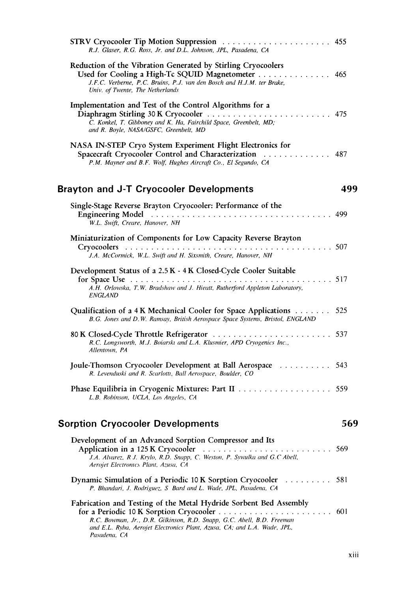| STRV Cryocooler Tip Motion Suppression  455<br>R.J. Glaser, R.G. Ross, Jr. and D.L. Johnson, JPL, Pasadena, CA                                                                                                                          |     |
|-----------------------------------------------------------------------------------------------------------------------------------------------------------------------------------------------------------------------------------------|-----|
| Reduction of the Vibration Generated by Stirling Cryocoolers<br>Used for Cooling a High-Tc SQUID Magnetometer 465<br>J.F.C. Verberne, P.C. Bruins, P.J. van den Bosch and H.J.M. ter Brake,<br>Univ. of Twente, The Netherlands         |     |
| Implementation and Test of the Control Algorithms for a<br>C. Konkel, T. Gibboney and K. Ha, Fairchild Space, Greenbelt, MD;<br>and R. Boyle, NASA/GSFC, Greenbelt, MD                                                                  |     |
| NASA IN-STEP Cryo System Experiment Flight Electronics for<br>Spacecraft Cryocooler Control and Characterization [1, 1, 1, 1, 1, 1, 1, 1, 1, 487]<br>P.M. Mayner and B.F. Wolf, Hughes Aircraft Co., El Segundo, CA                     |     |
| <b>Brayton and J-T Cryocooler Developments</b>                                                                                                                                                                                          | 499 |
| Single-Stage Reverse Brayton Cryocooler: Performance of the<br>W.L. Swift, Creare, Hanover, NH                                                                                                                                          |     |
| Miniaturization of Components for Low Capacity Reverse Brayton<br>J.A. McCormick, W.L. Swift and H. Sixsmith, Creare, Hanover, NH                                                                                                       |     |
| Development Status of a 2.5 K - 4 K Closed-Cycle Cooler Suitable<br>A.H. Orlowska, T.W. Bradshaw and J. Hieatt, Rutherford Appleton Laboratory,<br><i>ENGLAND</i>                                                                       |     |
| Qualification of a 4 K Mechanical Cooler for Space Applications 525<br>B.G. Jones and D.W. Ramsay, British Aerospace Space Systems, Bristol, ENGLAND                                                                                    |     |
| R.C. Longsworth, M.J. Boiarski and L.A. Klusmier, APD Cryogenics Inc.,<br>Allentown, PA                                                                                                                                                 |     |
| Joule-Thomson Cryocooler Development at Ball Aerospace  543<br>R. Levenduski and R. Scarlotti, Ball Aerospace, Boulder, CO                                                                                                              |     |
| L.B. Robinson, UCLA, Los Angeles, CA                                                                                                                                                                                                    |     |
| <b>Sorption Cryocooler Developments</b>                                                                                                                                                                                                 | 569 |
| Development of an Advanced Sorption Compressor and Its<br>J.A. Alvarez, R J. Krylo, R.D. Snapp, C. Weston, P. Sywulka and G.C Abell,<br>Aerojet Electronics Plant, Azusa, CA                                                            |     |
| Dynamic Simulation of a Periodic 10 K Sorption Cryocooler  581<br>P. Bhandari, J. Rodriguez, S. Bard and L. Wade, JPL, Pasadena, CA                                                                                                     |     |
| Fabrication and Testing of the Metal Hydride Sorbent Bed Assembly<br>R.C. Bowman, Jr., D.R. Gilkinson, R.D. Snapp, G.C. Abell, B.D. Freeman<br>and E.L. Ryba, Aerojet Electronics Plant, Azusa, CA; and L.A. Wade, JPL,<br>Pasadena, CA |     |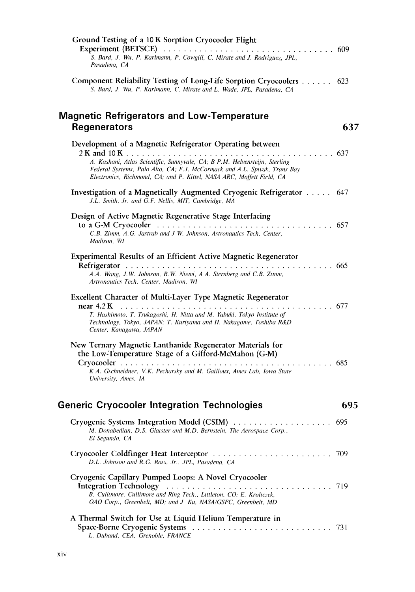| Ground Testing of a 10 K Sorption Cryocooler Flight<br>S. Bard, J. Wu, P. Karlmann, P. Cowgill, C. Mirate and J. Rodriguez, JPL,                                                                                                                                                             |      |
|----------------------------------------------------------------------------------------------------------------------------------------------------------------------------------------------------------------------------------------------------------------------------------------------|------|
| Pasadena, CA                                                                                                                                                                                                                                                                                 |      |
| Component Reliability Testing of Long-Life Sorption Cryocoolers 623<br>S. Bard, J. Wu, P. Karlmann, C. Mirate and L. Wade, JPL, Pasadena, CA                                                                                                                                                 |      |
| <b>Magnetic Refrigerators and Low-Temperature</b><br><b>Regenerators</b>                                                                                                                                                                                                                     | 637  |
| Development of a Magnetic Refrigerator Operating between<br>A. Kashani, Atlas Scientific, Sunnyvale, CA; B P.M. Helvensteijn, Sterling<br>Federal Systems, Palo Alto, CA; F.J. McCormack and A.L. Spivak, Trans-Bay<br>Electronics, Richmond, CA; and P. Kittel, NASA ARC, Moffett Field, CA |      |
| Investigation of a Magnetically Augmented Cryogenic Refrigerator 647<br>J.L. Smith, Jr. and G.F. Nellis, MIT, Cambridge, MA                                                                                                                                                                  |      |
| Design of Active Magnetic Regenerative Stage Interfacing<br>C.B. Zimm, A.G. Jastrab and J W. Johnson, Astronautics Tech. Center,<br>Madison, WI                                                                                                                                              |      |
| Experimental Results of an Efficient Active Magnetic Regenerator<br>A.A. Wang, J.W. Johnson, R.W. Niemi, A A. Sternberg and C.B. Zimm,<br>Astronautics Tech. Center, Madison, WI                                                                                                             |      |
| Excellent Character of Multi-Layer Type Magnetic Regenerator<br>T. Hashimoto, T. Tsukagoshi, H. Nitta and M. Yabuki, Tokyo Institute of<br>Technology, Tokyo, JAPAN; T. Kuriyama and H. Nakagome, Toshiba R&D<br>Center, Kanagawa, JAPAN                                                     |      |
| New Ternary Magnetic Lanthanide Regenerator Materials for<br>the Low-Temperature Stage of a Gifford-McMahon (G-M)<br>K A. Gschneidner, V.K. Pecharsky and M. Gailloux, Ames Lab, Iowa State<br>University, Ames, IA                                                                          | 685  |
| <b>Generic Cryocooler Integration Technologies</b>                                                                                                                                                                                                                                           | 695  |
| Cryogenic Systems Integration Model (CSIM)<br>M. Donabedian, D.S. Glaister and M.D. Bernstein, The Aerospace Corp.,<br>El Segundo, CA                                                                                                                                                        | 695  |
| D.L. Johnson and R.G. Ross, Jr., JPL, Pasadena, CA                                                                                                                                                                                                                                           | -709 |
| Cryogenic Capillary Pumped Loops: A Novel Cryocooler<br>B. Cullimore, Cullimore and Ring Tech., Littleton, CO; E. Kroliczek,<br>OAO Corp., Greenbelt, MD; and J Ku, NASA/GSFC, Greenbelt, MD                                                                                                 |      |
| A Thermal Switch for Use at Liquid Helium Temperature in<br>L. Duband, CEA, Grenoble, FRANCE                                                                                                                                                                                                 | 731  |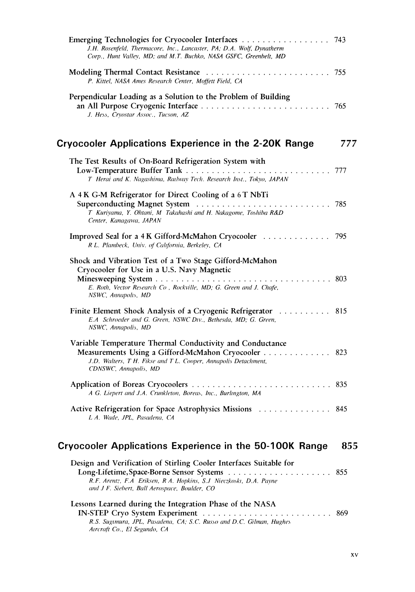| J.H. Rosenfeld, Thermacore, Inc., Lancaster, PA; D.A. Wolf, Dynatherm<br>Corp., Hunt Valley, MD; and M.T. Buchko, NASA GSFC, Greenbelt, MD                                                                   |     |
|--------------------------------------------------------------------------------------------------------------------------------------------------------------------------------------------------------------|-----|
| P. Kittel, NASA Ames Research Center, Moffett Field, CA                                                                                                                                                      |     |
| Perpendicular Loading as a Solution to the Problem of Building<br>J. Hess, Cryostar Assoc., Tucson, AZ                                                                                                       |     |
| Cryocooler Applications Experience in the 2-20K Range                                                                                                                                                        | 777 |
| The Test Results of On-Board Refrigeration System with<br>T Herai and K. Nagashima, Railway Tech. Research Inst., Tokyo, JAPAN                                                                               |     |
| A 4K G-M Refrigerator for Direct Cooling of a 6T NbTi<br>T Kuriyama, Y. Ohtani, M Takahashi and H. Nakagome, Toshiba R&D<br>Center, Kanagawa, JAPAN                                                          |     |
| Improved Seal for a 4 K Gifford-McMahon Cryocooler 795<br>R.L. Plambeck, Univ. of California, Berkeley, CA                                                                                                   |     |
| Shock and Vibration Test of a Two Stage Gifford-McMahon<br>Cryocooler for Use in a U.S. Navy Magnetic<br>E. Roth, Vector Research Co , Rockville, MD; G. Green and J. Chafe,<br>NSWC, Annapolis, MD          |     |
| Finite Element Shock Analysis of a Cryogenic Refrigerator 815<br>E.A Schroeder and G. Green, NSWC Div., Bethesda, MD; G. Green,<br>NSWC, Annapolis, MD                                                       |     |
| Variable Temperature Thermal Conductivity and Conductance<br>Measurements Using a Gifford-McMahon Cryocooler 823<br>J.D. Walters, T H. Fikse and T L. Cooper, Annapolis Detachment,<br>CDNSWC, Annapolis, MD |     |
| A G. Liepert and J.A. Crunkleton, Boreas, Inc., Burlington, MA                                                                                                                                               |     |
| Active Refrigeration for Space Astrophysics Missions 845<br>L.A. Wade, JPL, Pasadena, CA                                                                                                                     |     |
| Cryocooler Applications Experience in the 50-100K Range                                                                                                                                                      | 855 |
| Design and Verification of Stirling Cooler Interfaces Suitable for<br>R.F. Arentz, F.A Eriksen, R A. Hopkins, S.J Nieczkoski, D.A. Payne<br>and J F. Siebert, Ball Aerospace, Boulder, CO                    | 855 |
| Lessons Learned during the Integration Phase of the NASA<br>R.S. Sugimura, JPL, Pasadena, CA; S.C. Russo and D.C. Gilman, Hughes<br>Aircraft Co., El Segundo, CA                                             |     |